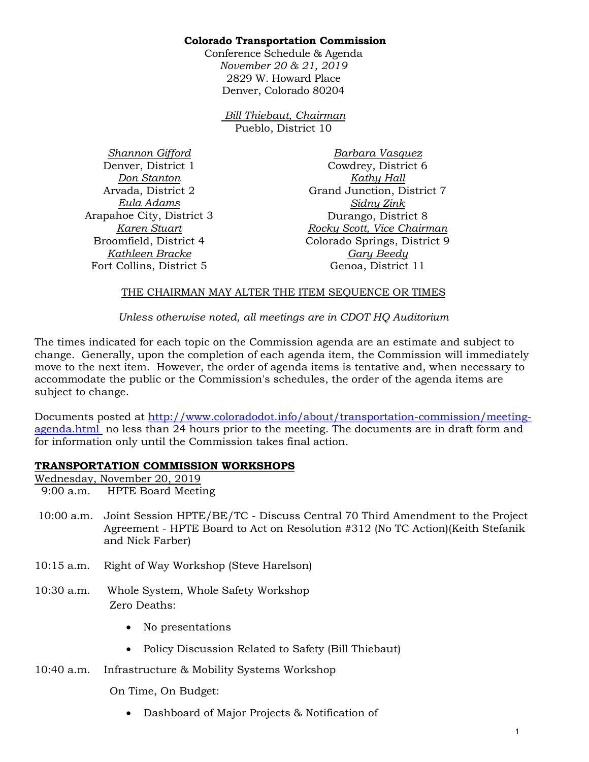# **Colorado Transportation Commission**

Conference Schedule & Agenda *November 20 & 21, 2019*  2829 W. Howard Place Denver, Colorado 80204

> *Bill Thiebaut, Chairman* Pueblo, District 10

*Shannon Gifford* Denver, District 1 *Don Stanton* Arvada, District 2 *Eula Adams* Arapahoe City, District 3 *Karen Stuart* Broomfield, District 4 *Kathleen Bracke* Fort Collins, District 5

*Barbara Vasquez* Cowdrey, District 6 *Kathy Hall* Grand Junction, District 7 *Sidny Zink* Durango, District 8 *Rocky Scott, Vice Chairman* Colorado Springs, District 9 *Gary Beedy* Genoa, District 11

# THE CHAIRMAN MAY ALTER THE ITEM SEQUENCE OR TIMES

*Unless otherwise noted, all meetings are in CDOT HQ Auditorium*

The times indicated for each topic on the Commission agenda are an estimate and subject to change. Generally, upon the completion of each agenda item, the Commission will immediately move to the next item. However, the order of agenda items is tentative and, when necessary to accommodate the public or the Commission's schedules, the order of the agenda items are subject to change.

Documents posted at [http://www.coloradodot.info/about/transportation-commission/meeting](http://www.coloradodot.info/about/transportation-commission/meeting-agenda.html)[agenda.html](http://www.coloradodot.info/about/transportation-commission/meeting-agenda.html) no less than 24 hours prior to the meeting. The documents are in draft form and for information only until the Commission takes final action.

# **TRANSPORTATION COMMISSION WORKSHOPS**

Wednesday, November 20, 2019

- 9:00 a.m. HPTE Board Meeting
- 10:00 a.m. Joint Session HPTE/BE/TC Discuss Central 70 Third Amendment to the Project Agreement - HPTE Board to Act on Resolution #312 (No TC Action)(Keith Stefanik and Nick Farber)
- 10:15 a.m. Right of Way Workshop (Steve Harelson)
- 10:30 a.m. Whole System, Whole Safety Workshop Zero Deaths:
	- No presentations
	- Policy Discussion Related to Safety (Bill Thiebaut)
- 10:40 a.m. Infrastructure & Mobility Systems Workshop

On Time, On Budget:

• Dashboard of Major Projects & Notification of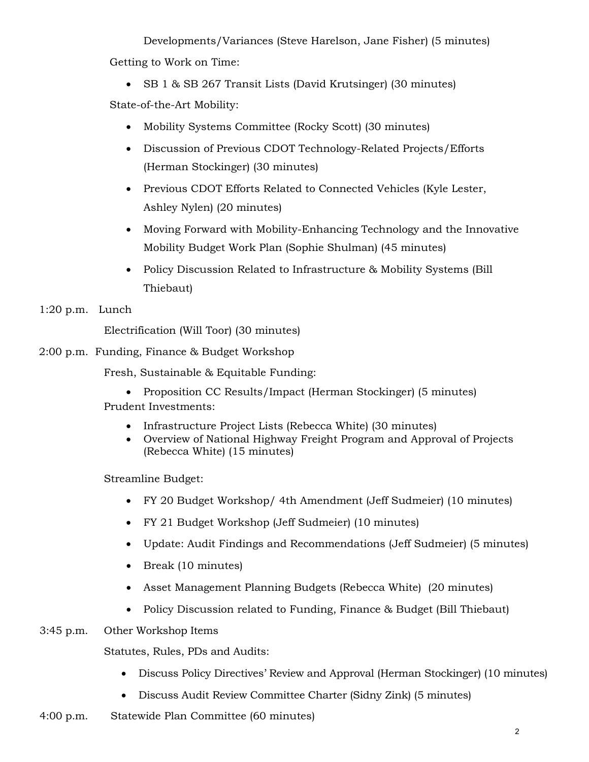Developments/Variances (Steve Harelson, Jane Fisher) (5 minutes) Getting to Work on Time:

• SB 1 & SB 267 Transit Lists (David Krutsinger) (30 minutes)

State-of-the-Art Mobility:

- Mobility Systems Committee (Rocky Scott) (30 minutes)
- Discussion of Previous CDOT Technology-Related Projects/Efforts (Herman Stockinger) (30 minutes)
- Previous CDOT Efforts Related to Connected Vehicles (Kyle Lester, Ashley Nylen) (20 minutes)
- Moving Forward with Mobility-Enhancing Technology and the Innovative Mobility Budget Work Plan (Sophie Shulman) (45 minutes)
- Policy Discussion Related to Infrastructure & Mobility Systems (Bill Thiebaut)

1:20 p.m. Lunch

Electrification (Will Toor) (30 minutes)

2:00 p.m. Funding, Finance & Budget Workshop

Fresh, Sustainable & Equitable Funding:

• Proposition CC Results/Impact (Herman Stockinger) (5 minutes)

Prudent Investments:

- Infrastructure Project Lists (Rebecca White) (30 minutes)
- Overview of National Highway Freight Program and Approval of Projects (Rebecca White) (15 minutes)

Streamline Budget:

- FY 20 Budget Workshop/ 4th Amendment (Jeff Sudmeier) (10 minutes)
- FY 21 Budget Workshop (Jeff Sudmeier) (10 minutes)
- Update: Audit Findings and Recommendations (Jeff Sudmeier) (5 minutes)
- Break (10 minutes)
- Asset Management Planning Budgets (Rebecca White) (20 minutes)
- Policy Discussion related to Funding, Finance & Budget (Bill Thiebaut)

# 3:45 p.m. Other Workshop Items

Statutes, Rules, PDs and Audits:

- Discuss Policy Directives' Review and Approval (Herman Stockinger) (10 minutes)
- Discuss Audit Review Committee Charter (Sidny Zink) (5 minutes)
- 4:00 p.m. Statewide Plan Committee (60 minutes)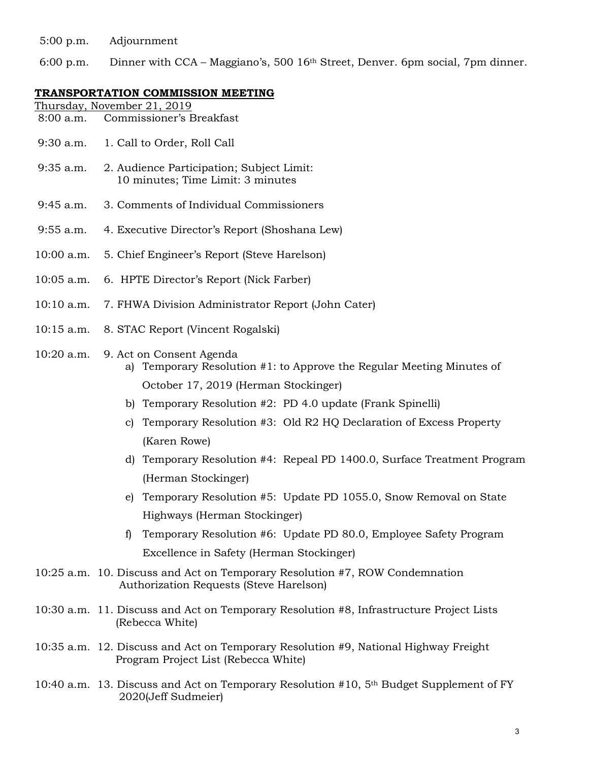- 5:00 p.m. Adjournment
- 6:00 p.m. Dinner with CCA Maggiano's, 500 16th Street, Denver. 6pm social, 7pm dinner.

### **TRANSPORTATION COMMISSION MEETING**

- Thursday, November 21, 2019 8:00 a.m. Commissioner's Breakfast
- 9:30 a.m. 1. Call to Order, Roll Call
- 9:35 a.m. 2. Audience Participation; Subject Limit: 10 minutes; Time Limit: 3 minutes
- 9:45 a.m. 3. Comments of Individual Commissioners
- 9:55 a.m. 4. Executive Director's Report (Shoshana Lew)
- 10:00 a.m. 5. Chief Engineer's Report (Steve Harelson)
- 10:05 a.m. 6. HPTE Director's Report (Nick Farber)
- 10:10 a.m. 7. FHWA Division Administrator Report (John Cater)
- 10:15 a.m. 8. STAC Report (Vincent Rogalski)
- 10:20 a.m. 9. Act on Consent Agenda
	- a) Temporary Resolution #1: to Approve the Regular Meeting Minutes of October 17, 2019 (Herman Stockinger)
	- b) Temporary Resolution #2: PD 4.0 update (Frank Spinelli)
	- c) Temporary Resolution #3: Old R2 HQ Declaration of Excess Property (Karen Rowe)
	- d) Temporary Resolution #4: Repeal PD 1400.0, Surface Treatment Program (Herman Stockinger)
	- e) Temporary Resolution #5: Update PD 1055.0, Snow Removal on State Highways (Herman Stockinger)
	- f) Temporary Resolution #6: Update PD 80.0, Employee Safety Program Excellence in Safety (Herman Stockinger)
- 10:25 a.m. 10. Discuss and Act on Temporary Resolution #7, ROW Condemnation Authorization Requests (Steve Harelson)
- 10:30 a.m. 11. Discuss and Act on Temporary Resolution #8, Infrastructure Project Lists (Rebecca White)
- 10:35 a.m. 12. Discuss and Act on Temporary Resolution #9, National Highway Freight Program Project List (Rebecca White)
- 10:40 a.m. 13. Discuss and Act on Temporary Resolution  $#10$ ,  $5<sup>th</sup>$  Budget Supplement of FY 2020(Jeff Sudmeier)